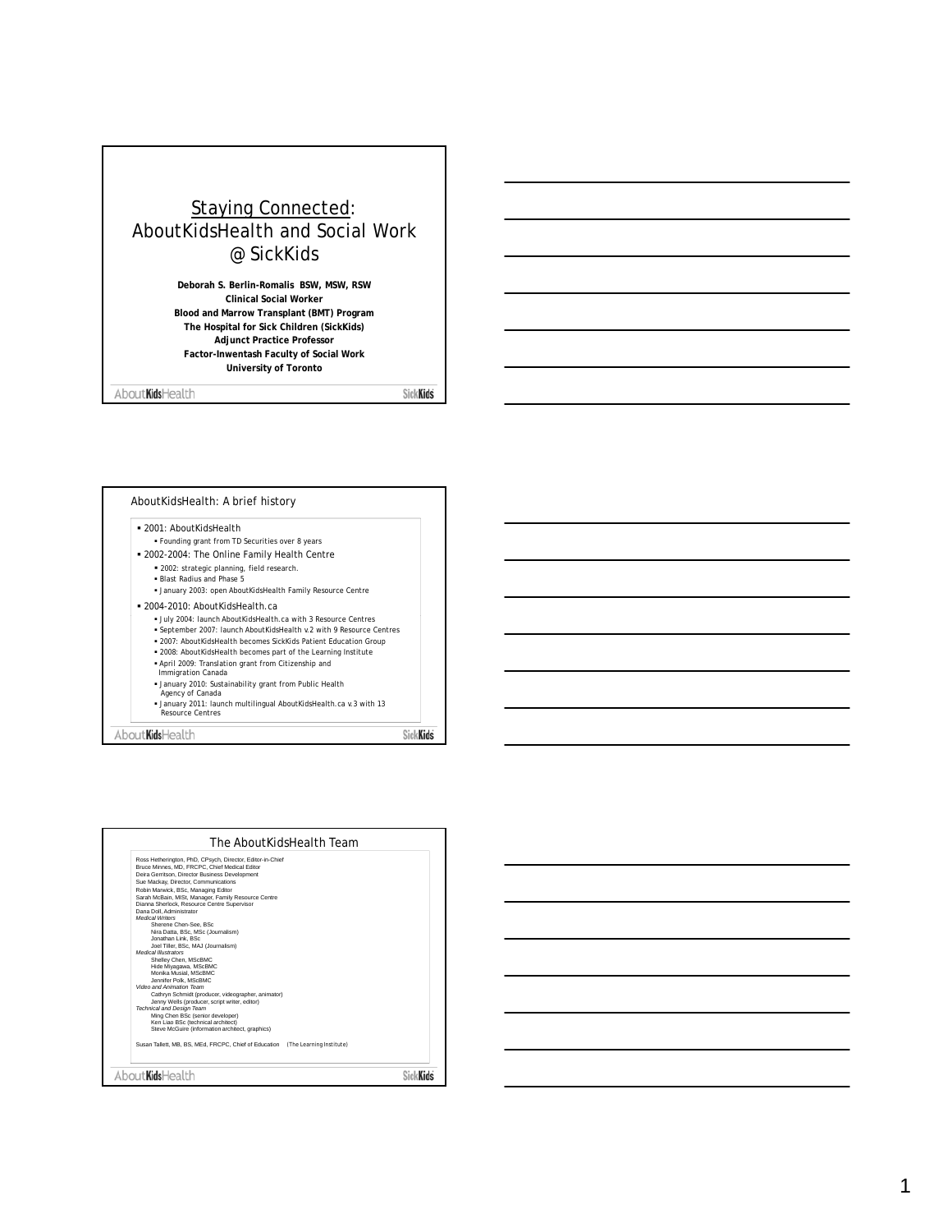## Staying Connected: AboutKidsHealth and Social Work @ SickKids

**Deborah S. Berlin-Romalis BSW, MSW, RSW Clinical Social Worker Blood and Marrow Transplant (BMT) Program The Hospital for Sick Children (SickKids) Adjunct Practice Professor Factor-Inwentash Faculty of Social Work University of Toronto**

About KidsHealth

SickKids



| Bruce Minnes, MD, FRCPC, Chief Medical Editor<br>Deira Gerritson, Director Business Development<br>Sue Mackay, Director, Communications<br>Robin Marwick, BSc. Managing Editor<br>Sarah McBain, MISt, Manager, Family Resource Centre<br>Dianna Sherlock, Resource Centre Supervisor<br>Dana Doll, Administrator<br><b>Medical Writers</b><br>Sherene Chen-See, BSc<br>Nira Datta, BSc, MSc (Journalism)<br>Jonathan Link, BSc<br>Joel Tiller, BSc. MAJ (Journalism)<br><b>Medical Illustrators</b><br>Shelley Chen, MScBMC<br>Hide Mivagawa, MScBMC<br>Monika Musial, MScBMC<br>Jennifer Polk, MScBMC<br>Video and Animation Team<br>Cathryn Schmidt (producer, videographer, animator)<br>Jenny Wells (producer, script writer, editor)<br><b>Technical and Design Team</b><br>Ming Chen BSc (senior developer)<br>Ken Liao BSc (technical architect) |  |
|---------------------------------------------------------------------------------------------------------------------------------------------------------------------------------------------------------------------------------------------------------------------------------------------------------------------------------------------------------------------------------------------------------------------------------------------------------------------------------------------------------------------------------------------------------------------------------------------------------------------------------------------------------------------------------------------------------------------------------------------------------------------------------------------------------------------------------------------------------|--|
|                                                                                                                                                                                                                                                                                                                                                                                                                                                                                                                                                                                                                                                                                                                                                                                                                                                         |  |
|                                                                                                                                                                                                                                                                                                                                                                                                                                                                                                                                                                                                                                                                                                                                                                                                                                                         |  |
|                                                                                                                                                                                                                                                                                                                                                                                                                                                                                                                                                                                                                                                                                                                                                                                                                                                         |  |
|                                                                                                                                                                                                                                                                                                                                                                                                                                                                                                                                                                                                                                                                                                                                                                                                                                                         |  |
|                                                                                                                                                                                                                                                                                                                                                                                                                                                                                                                                                                                                                                                                                                                                                                                                                                                         |  |
|                                                                                                                                                                                                                                                                                                                                                                                                                                                                                                                                                                                                                                                                                                                                                                                                                                                         |  |
|                                                                                                                                                                                                                                                                                                                                                                                                                                                                                                                                                                                                                                                                                                                                                                                                                                                         |  |
|                                                                                                                                                                                                                                                                                                                                                                                                                                                                                                                                                                                                                                                                                                                                                                                                                                                         |  |
|                                                                                                                                                                                                                                                                                                                                                                                                                                                                                                                                                                                                                                                                                                                                                                                                                                                         |  |
|                                                                                                                                                                                                                                                                                                                                                                                                                                                                                                                                                                                                                                                                                                                                                                                                                                                         |  |
|                                                                                                                                                                                                                                                                                                                                                                                                                                                                                                                                                                                                                                                                                                                                                                                                                                                         |  |
|                                                                                                                                                                                                                                                                                                                                                                                                                                                                                                                                                                                                                                                                                                                                                                                                                                                         |  |
|                                                                                                                                                                                                                                                                                                                                                                                                                                                                                                                                                                                                                                                                                                                                                                                                                                                         |  |
|                                                                                                                                                                                                                                                                                                                                                                                                                                                                                                                                                                                                                                                                                                                                                                                                                                                         |  |
|                                                                                                                                                                                                                                                                                                                                                                                                                                                                                                                                                                                                                                                                                                                                                                                                                                                         |  |
|                                                                                                                                                                                                                                                                                                                                                                                                                                                                                                                                                                                                                                                                                                                                                                                                                                                         |  |
|                                                                                                                                                                                                                                                                                                                                                                                                                                                                                                                                                                                                                                                                                                                                                                                                                                                         |  |
|                                                                                                                                                                                                                                                                                                                                                                                                                                                                                                                                                                                                                                                                                                                                                                                                                                                         |  |
|                                                                                                                                                                                                                                                                                                                                                                                                                                                                                                                                                                                                                                                                                                                                                                                                                                                         |  |
|                                                                                                                                                                                                                                                                                                                                                                                                                                                                                                                                                                                                                                                                                                                                                                                                                                                         |  |
|                                                                                                                                                                                                                                                                                                                                                                                                                                                                                                                                                                                                                                                                                                                                                                                                                                                         |  |
|                                                                                                                                                                                                                                                                                                                                                                                                                                                                                                                                                                                                                                                                                                                                                                                                                                                         |  |
| Steve McGuire (information architect, graphics)                                                                                                                                                                                                                                                                                                                                                                                                                                                                                                                                                                                                                                                                                                                                                                                                         |  |
|                                                                                                                                                                                                                                                                                                                                                                                                                                                                                                                                                                                                                                                                                                                                                                                                                                                         |  |
| Susan Tallett, MB, BS, MEd, FRCPC, Chief of Education (The Learning Institute)                                                                                                                                                                                                                                                                                                                                                                                                                                                                                                                                                                                                                                                                                                                                                                          |  |
|                                                                                                                                                                                                                                                                                                                                                                                                                                                                                                                                                                                                                                                                                                                                                                                                                                                         |  |
| About <b>Kids</b> Health                                                                                                                                                                                                                                                                                                                                                                                                                                                                                                                                                                                                                                                                                                                                                                                                                                |  |

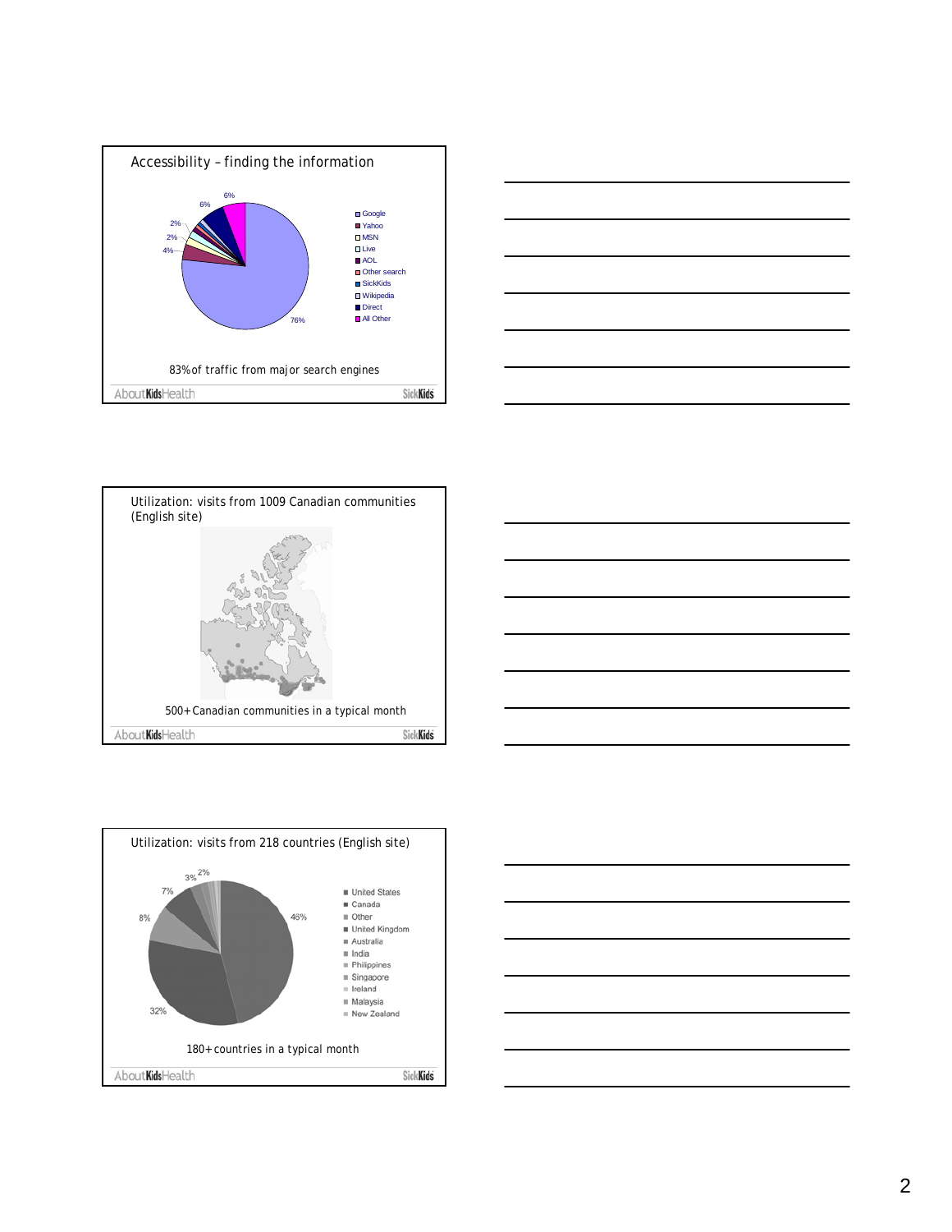









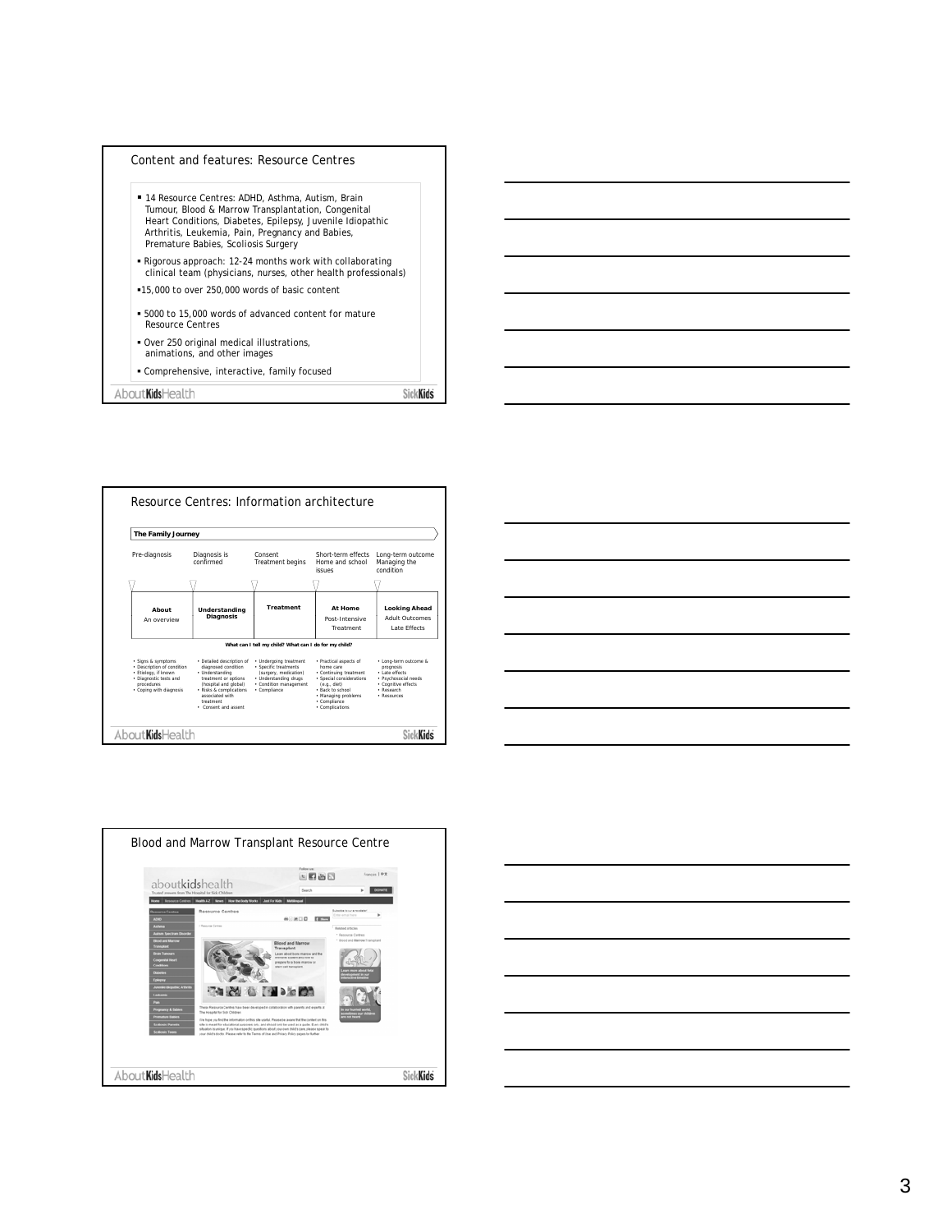

| The Family Journey                                                                                                                          |                                                                                                                                                                                                         |                                                                                                                                             |                                                                                                                                                                                        |                                                                                                                                  |
|---------------------------------------------------------------------------------------------------------------------------------------------|---------------------------------------------------------------------------------------------------------------------------------------------------------------------------------------------------------|---------------------------------------------------------------------------------------------------------------------------------------------|----------------------------------------------------------------------------------------------------------------------------------------------------------------------------------------|----------------------------------------------------------------------------------------------------------------------------------|
| Pre-diagnosis                                                                                                                               | Diagnosis is<br>confirmed                                                                                                                                                                               | Consent<br><b>Treatment begins</b>                                                                                                          | Short-term effects<br>Home and school<br>issues                                                                                                                                        | Long-term outcome<br>Managing the<br>condition                                                                                   |
|                                                                                                                                             |                                                                                                                                                                                                         |                                                                                                                                             |                                                                                                                                                                                        |                                                                                                                                  |
| About                                                                                                                                       | Understanding                                                                                                                                                                                           | <b>Treatment</b>                                                                                                                            | At Home                                                                                                                                                                                | <b>Looking Ahead</b>                                                                                                             |
| An overview                                                                                                                                 | <b>Diagnosis</b>                                                                                                                                                                                        |                                                                                                                                             | Post-Intensive<br>Treatment                                                                                                                                                            | <b>Adult Outcomes</b><br>Late Effects                                                                                            |
|                                                                                                                                             |                                                                                                                                                                                                         | What can I tell my child? What can I do for my child?                                                                                       |                                                                                                                                                                                        |                                                                                                                                  |
| · Signs & symptoms<br>· Description of condition<br>· Etiology, if known<br>· Diagnostic tests and<br>procedures<br>· Coping with diagnosis | · Detailed description of<br>diagnosed condition<br>· Understanding<br>treatment or options<br>(hospital and global)<br>· Risks & complications<br>associated with<br>treatment<br>· Consent and assent | · Undergoing treatment<br>· Specific treatments<br>(surgery, medication)<br>· Understanding drugs<br>· Condition management<br>· Compliance | · Practical aspects of<br>home care<br>· Continuing treatment<br>· Special considerations<br>(e.a., die)<br>· Back to school<br>· Managing problems<br>· Compliance<br>· Complications | · Long-term outcome &<br>prognosis<br>· Late effects<br>· Psychosocial needs<br>· Cognitive effects<br>· Research<br>· Resources |





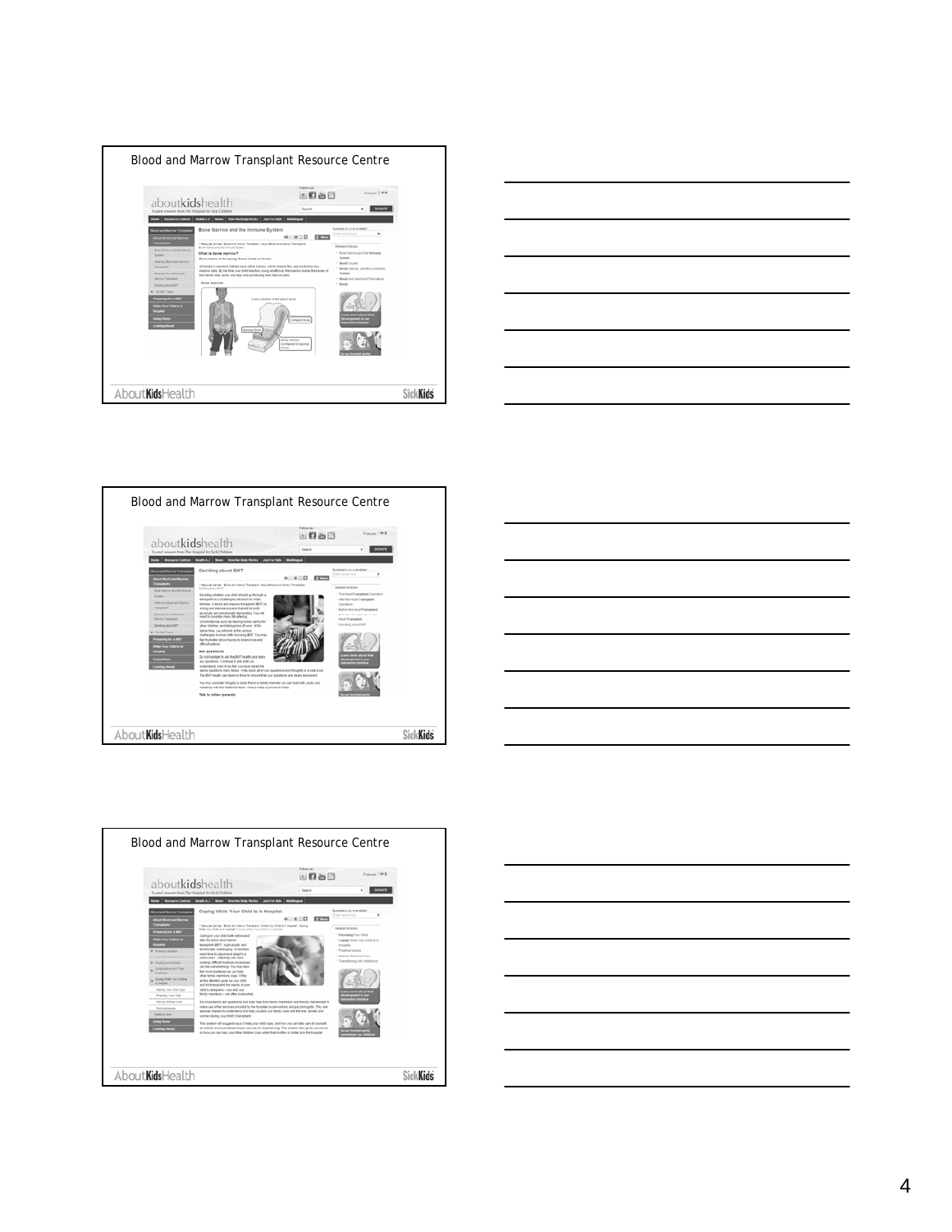









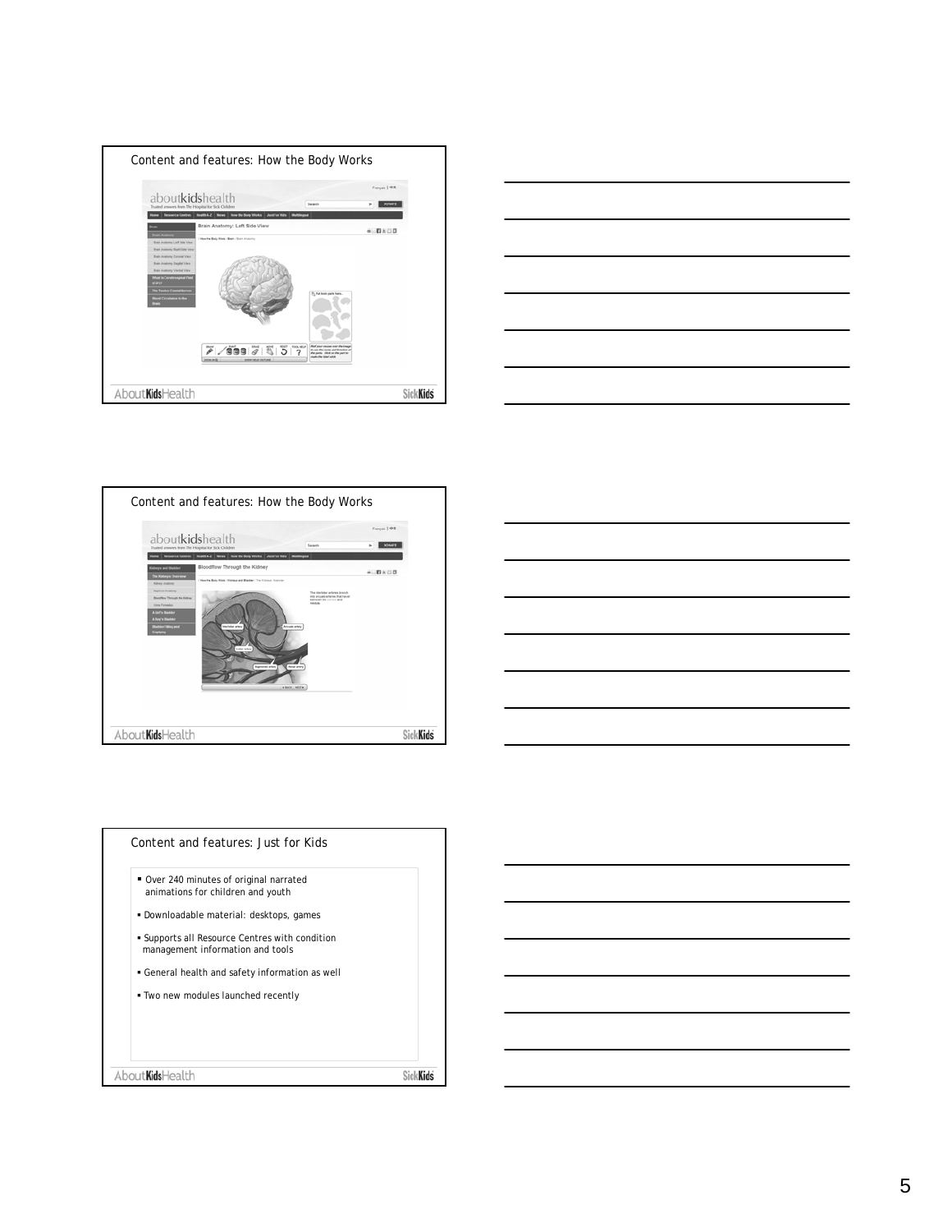







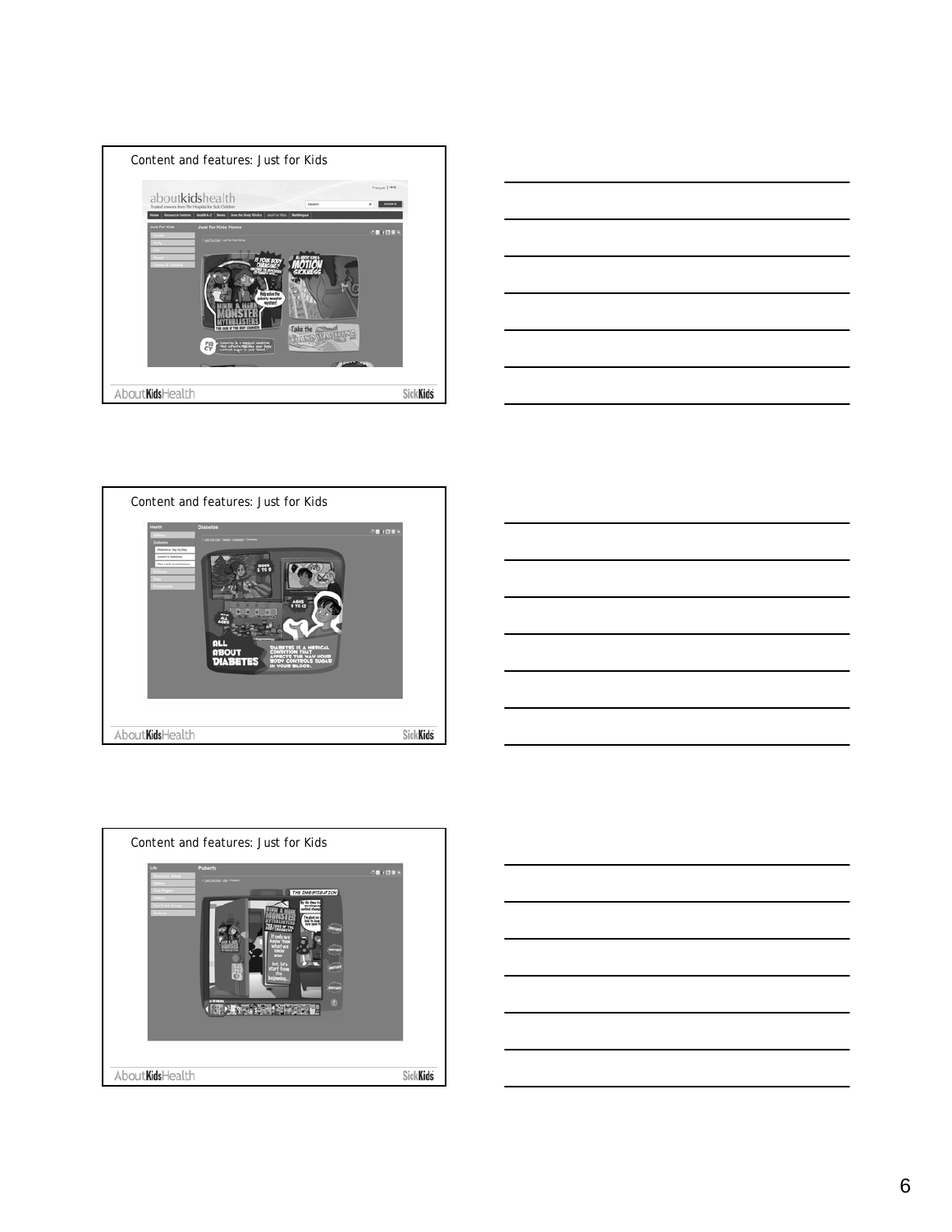









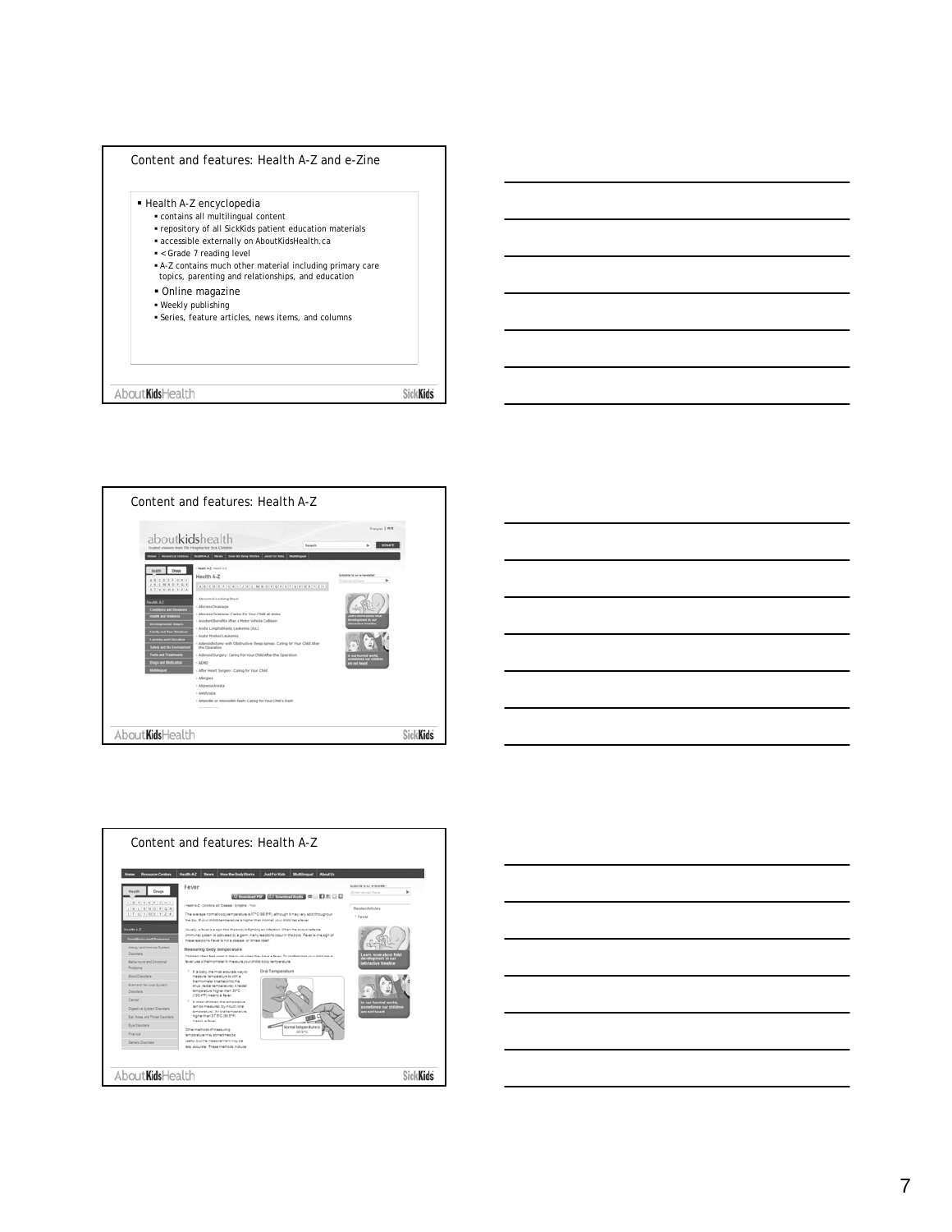







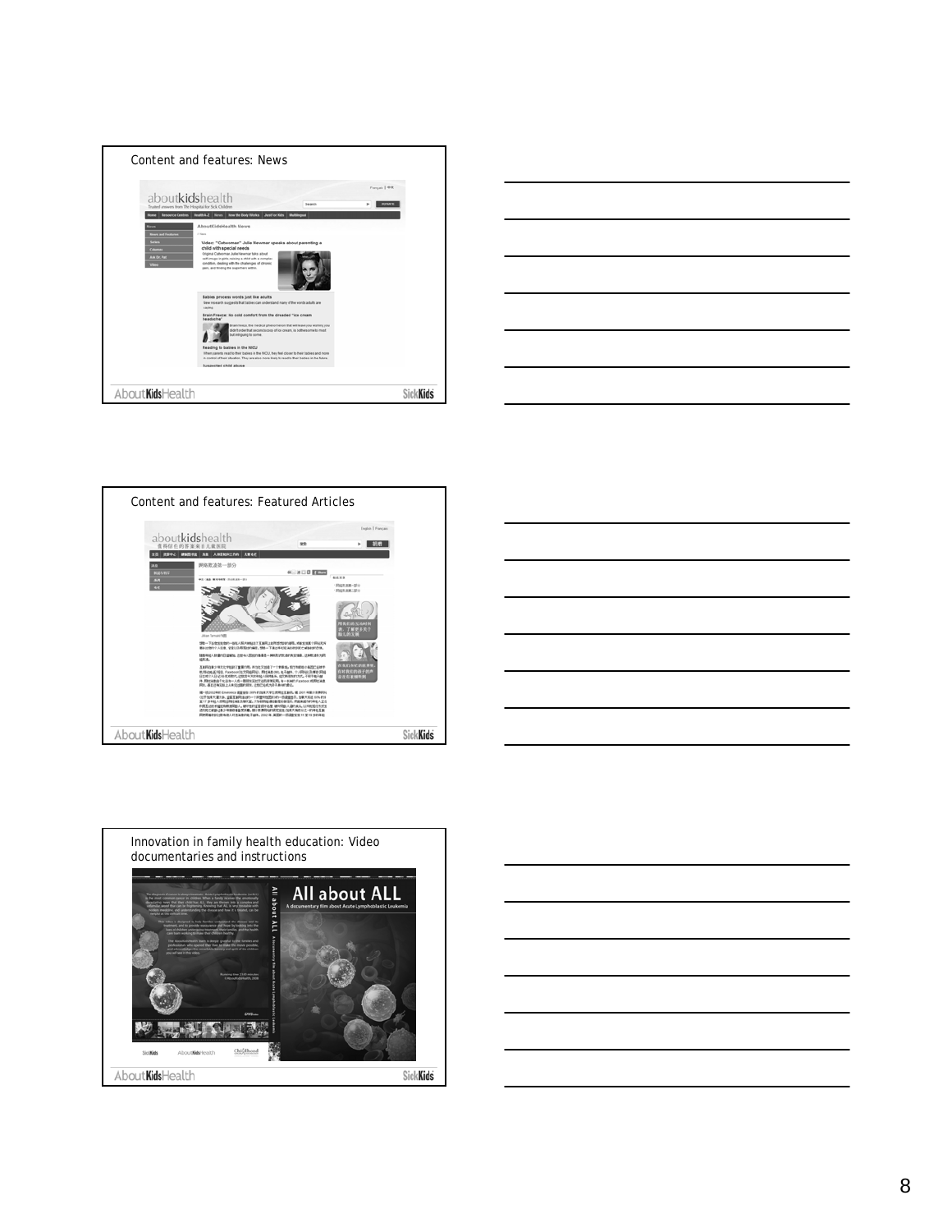









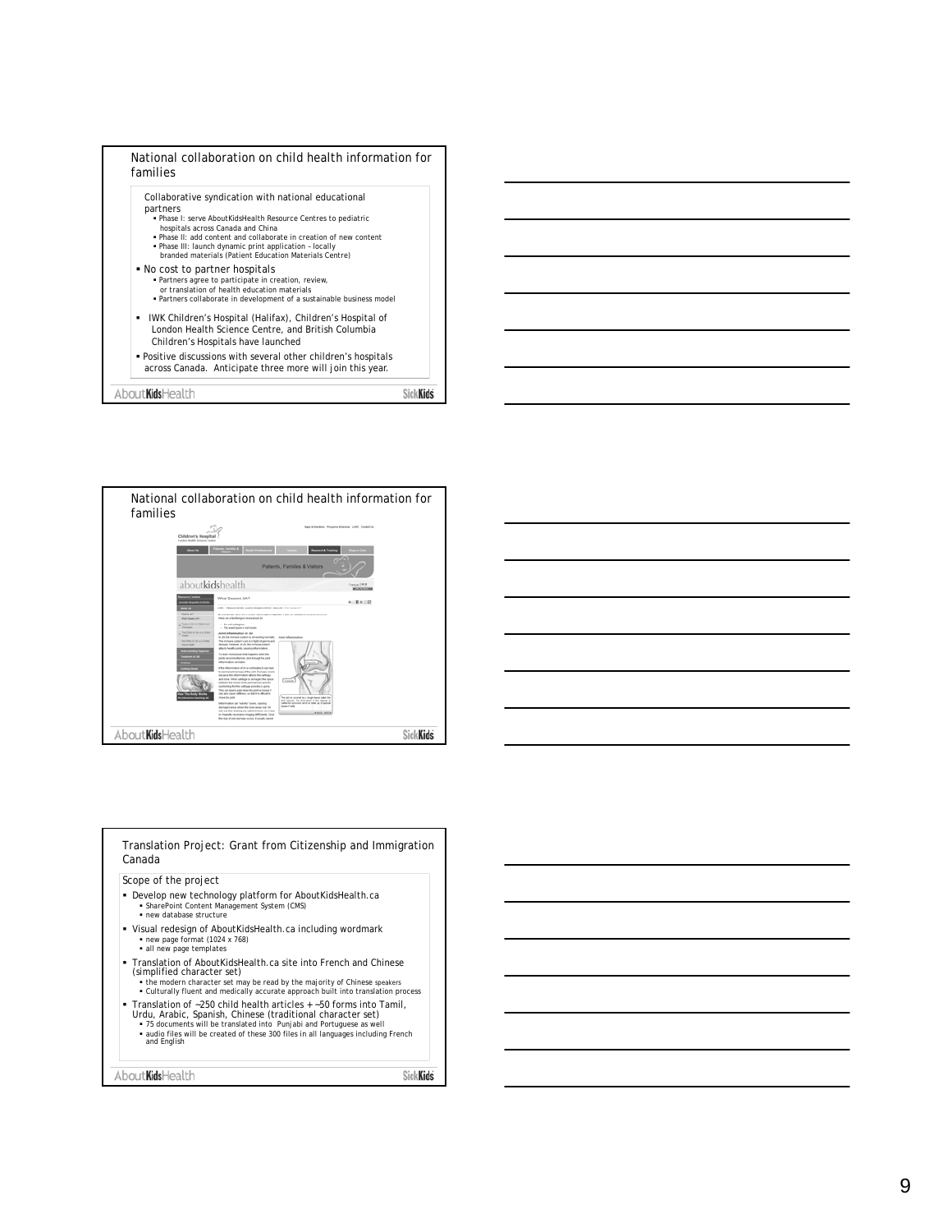





Translation Project: Grant from Citizenship and Immigration Canada

Scope of the project

- Develop new technology platform for AboutKidsHealth.ca SharePoint Content Management System (CMS) new database structure
- Visual redesign of AboutKidsHealth.ca including wordmark
- new page format (1024 x 768) all new page templates
- Translation of AboutKidsHealth.ca site into French and Chinese
	-
	- (simplified character set) the modern character set may be read by the majority of Chinese speakers Culturally fluent and medically accurate approach built into translation process
	-
- Franslation of ~250 child health articles + ~50 forms into Tamil,<br>Urdu, Arabic, Spanish, Chinese (traditional character set)<br>F3 documents will be translated into Punjabi and Portuguese as well<br>and English<br>and English<br>and

About**Kids**Health

**SickKids**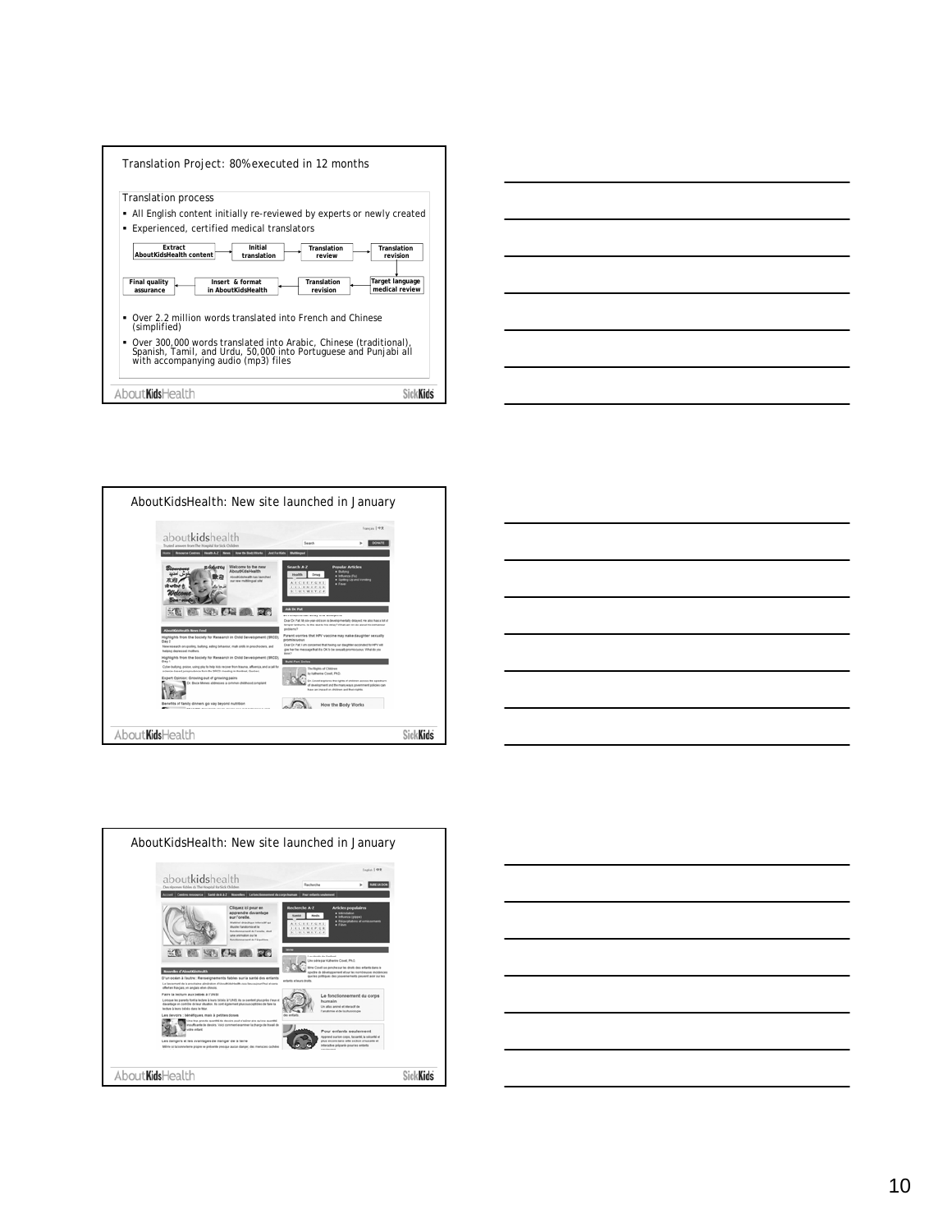| Translation Project: 80% executed in 12 months                                                                                                                                    |  |
|-----------------------------------------------------------------------------------------------------------------------------------------------------------------------------------|--|
| <b>Translation process</b>                                                                                                                                                        |  |
| All English content initially re-reviewed by experts or newly created                                                                                                             |  |
| Experienced, certified medical translators<br>٠                                                                                                                                   |  |
| Extract<br>Initial<br>Translation<br>Translation<br>AboutKidsHealth content<br>translation<br>review<br>revision                                                                  |  |
| Target language<br>Final quality<br>Insert & format<br>Translation<br>medical review<br>revision<br>in AboutKidsHealth<br>assurance                                               |  |
| Over 2.2 million words translated into French and Chinese<br>٠<br>(simplified)                                                                                                    |  |
| Over 300,000 words translated into Arabic, Chinese (traditional),<br>٠<br>Spanish, Tamil, and Urdu, 50,000 into Portuguese and Punjabi all<br>with accompanying audio (mp3) files |  |
| About <b>Kids</b> Health                                                                                                                                                          |  |









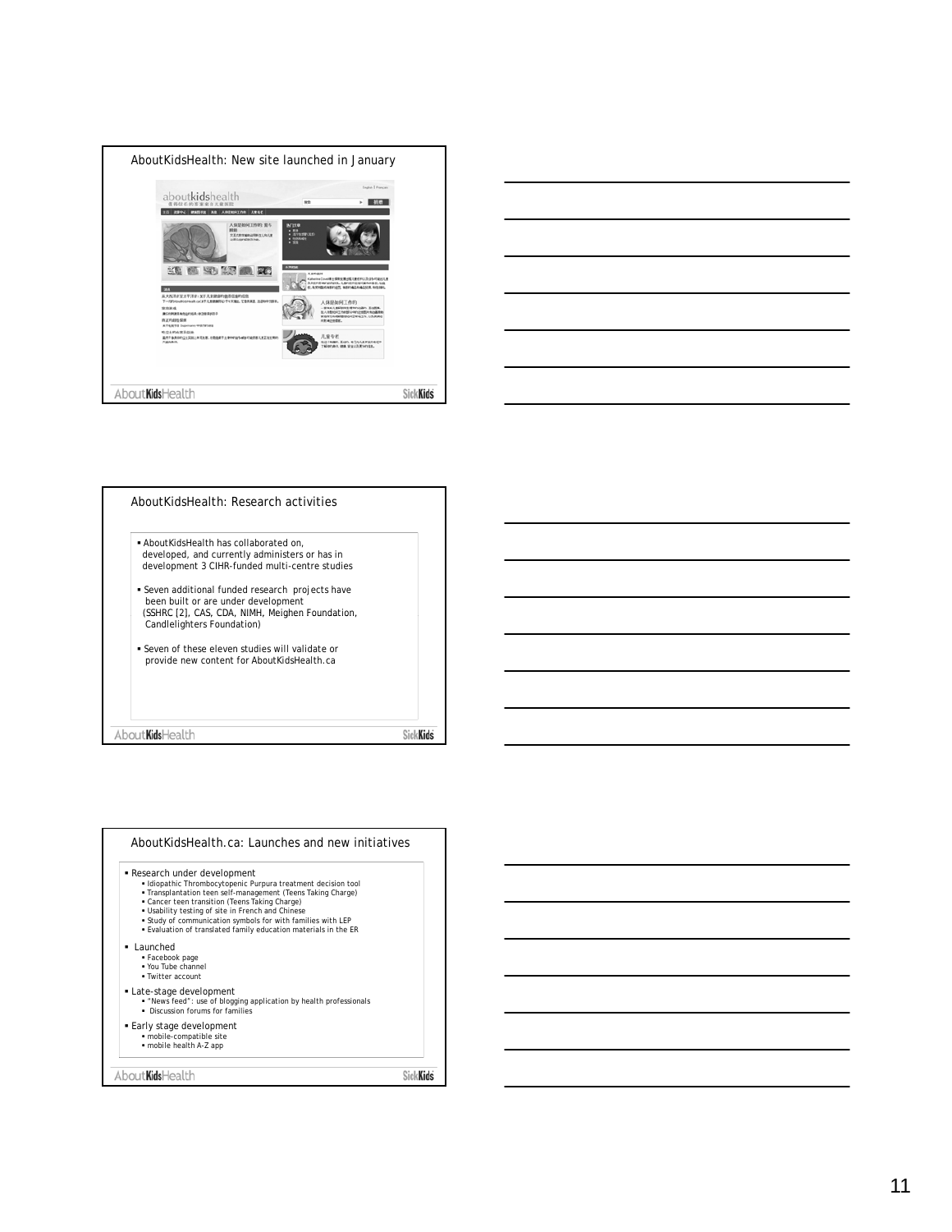